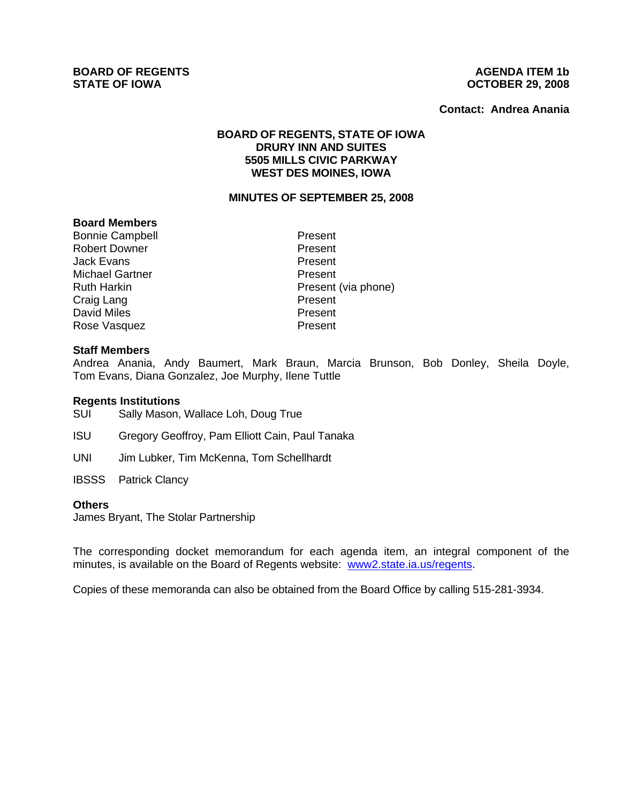**BOARD OF REGENTS**<br> **BOARD OF REGENTS**<br> **STATE OF IOWA**<br> **AGENDA ITEM 1b** 

# **STATE OF IOWA OCTOBER 29, 2008**

#### **Contact: Andrea Anania**

# **BOARD OF REGENTS, STATE OF IOWA DRURY INN AND SUITES 5505 MILLS CIVIC PARKWAY WEST DES MOINES, IOWA**

#### **MINUTES OF SEPTEMBER 25, 2008**

#### **Board Members**

Bonnie Campbell **Present** Robert Downer **Present** Jack Evans **Present** Michael Gartner **Present** Craig Lang North Craig Lang<br>
David Miles North Craig Present David Miles Rose Vasquez **Present** 

Ruth Harkin **Present** (via phone)

## **Staff Members**

Andrea Anania, Andy Baumert, Mark Braun, Marcia Brunson, Bob Donley, Sheila Doyle, Tom Evans, Diana Gonzalez, Joe Murphy, Ilene Tuttle

#### **Regents Institutions**

SUI Sally Mason, Wallace Loh, Doug True

- ISU Gregory Geoffroy, Pam Elliott Cain, Paul Tanaka
- UNI Jim Lubker, Tim McKenna, Tom Schellhardt
- IBSSS Patrick Clancy

#### **Others**

James Bryant, The Stolar Partnership

The corresponding docket memorandum for each agenda item, an integral component of the minutes, is available on the Board of Regents website: www2.state.ia.us/regents.

Copies of these memoranda can also be obtained from the Board Office by calling 515-281-3934.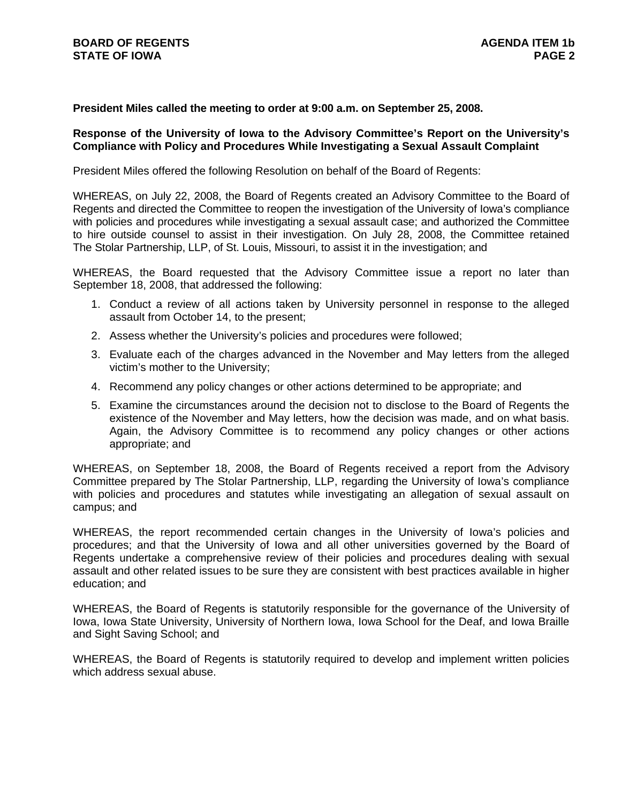# **President Miles called the meeting to order at 9:00 a.m. on September 25, 2008.**

## **Response of the University of Iowa to the Advisory Committee's Report on the University's Compliance with Policy and Procedures While Investigating a Sexual Assault Complaint**

President Miles offered the following Resolution on behalf of the Board of Regents:

WHEREAS, on July 22, 2008, the Board of Regents created an Advisory Committee to the Board of Regents and directed the Committee to reopen the investigation of the University of Iowa's compliance with policies and procedures while investigating a sexual assault case; and authorized the Committee to hire outside counsel to assist in their investigation. On July 28, 2008, the Committee retained The Stolar Partnership, LLP, of St. Louis, Missouri, to assist it in the investigation; and

WHEREAS, the Board requested that the Advisory Committee issue a report no later than September 18, 2008, that addressed the following:

- 1. Conduct a review of all actions taken by University personnel in response to the alleged assault from October 14, to the present;
- 2. Assess whether the University's policies and procedures were followed;
- 3. Evaluate each of the charges advanced in the November and May letters from the alleged victim's mother to the University;
- 4. Recommend any policy changes or other actions determined to be appropriate; and
- 5. Examine the circumstances around the decision not to disclose to the Board of Regents the existence of the November and May letters, how the decision was made, and on what basis. Again, the Advisory Committee is to recommend any policy changes or other actions appropriate; and

WHEREAS, on September 18, 2008, the Board of Regents received a report from the Advisory Committee prepared by The Stolar Partnership, LLP, regarding the University of Iowa's compliance with policies and procedures and statutes while investigating an allegation of sexual assault on campus; and

WHEREAS, the report recommended certain changes in the University of Iowa's policies and procedures; and that the University of Iowa and all other universities governed by the Board of Regents undertake a comprehensive review of their policies and procedures dealing with sexual assault and other related issues to be sure they are consistent with best practices available in higher education; and

WHEREAS, the Board of Regents is statutorily responsible for the governance of the University of Iowa, Iowa State University, University of Northern Iowa, Iowa School for the Deaf, and Iowa Braille and Sight Saving School; and

WHEREAS, the Board of Regents is statutorily required to develop and implement written policies which address sexual abuse.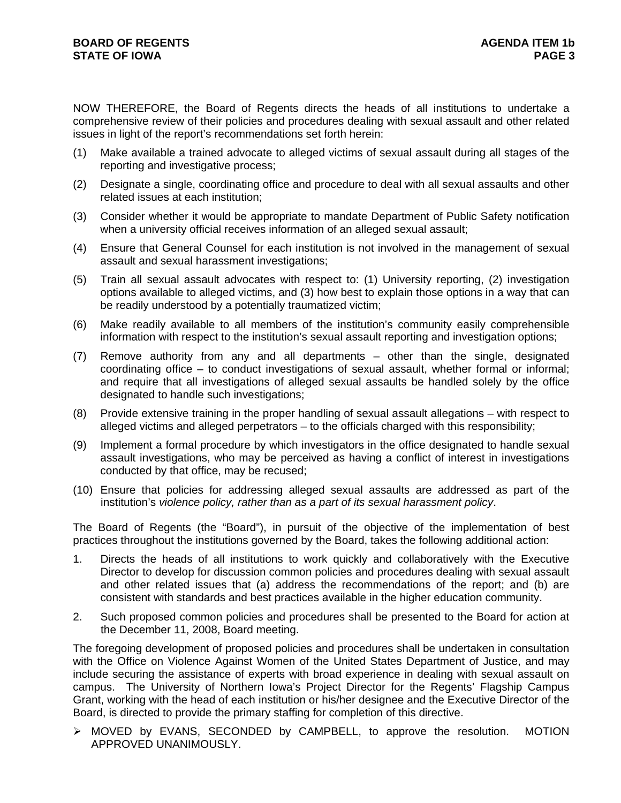NOW THEREFORE, the Board of Regents directs the heads of all institutions to undertake a comprehensive review of their policies and procedures dealing with sexual assault and other related issues in light of the report's recommendations set forth herein:

- (1) Make available a trained advocate to alleged victims of sexual assault during all stages of the reporting and investigative process;
- (2) Designate a single, coordinating office and procedure to deal with all sexual assaults and other related issues at each institution;
- (3) Consider whether it would be appropriate to mandate Department of Public Safety notification when a university official receives information of an alleged sexual assault;
- (4) Ensure that General Counsel for each institution is not involved in the management of sexual assault and sexual harassment investigations;
- (5) Train all sexual assault advocates with respect to: (1) University reporting, (2) investigation options available to alleged victims, and (3) how best to explain those options in a way that can be readily understood by a potentially traumatized victim;
- (6) Make readily available to all members of the institution's community easily comprehensible information with respect to the institution's sexual assault reporting and investigation options;
- (7) Remove authority from any and all departments other than the single, designated coordinating office – to conduct investigations of sexual assault, whether formal or informal; and require that all investigations of alleged sexual assaults be handled solely by the office designated to handle such investigations;
- (8) Provide extensive training in the proper handling of sexual assault allegations with respect to alleged victims and alleged perpetrators – to the officials charged with this responsibility;
- (9) Implement a formal procedure by which investigators in the office designated to handle sexual assault investigations, who may be perceived as having a conflict of interest in investigations conducted by that office, may be recused;
- (10) Ensure that policies for addressing alleged sexual assaults are addressed as part of the institution's *violence policy, rather than as a part of its sexual harassment policy*.

The Board of Regents (the "Board"), in pursuit of the objective of the implementation of best practices throughout the institutions governed by the Board, takes the following additional action:

- 1. Directs the heads of all institutions to work quickly and collaboratively with the Executive Director to develop for discussion common policies and procedures dealing with sexual assault and other related issues that (a) address the recommendations of the report; and (b) are consistent with standards and best practices available in the higher education community.
- 2. Such proposed common policies and procedures shall be presented to the Board for action at the December 11, 2008, Board meeting.

The foregoing development of proposed policies and procedures shall be undertaken in consultation with the Office on Violence Against Women of the United States Department of Justice, and may include securing the assistance of experts with broad experience in dealing with sexual assault on campus. The University of Northern Iowa's Project Director for the Regents' Flagship Campus Grant, working with the head of each institution or his/her designee and the Executive Director of the Board, is directed to provide the primary staffing for completion of this directive.

¾ MOVED by EVANS, SECONDED by CAMPBELL, to approve the resolution. MOTION APPROVED UNANIMOUSLY.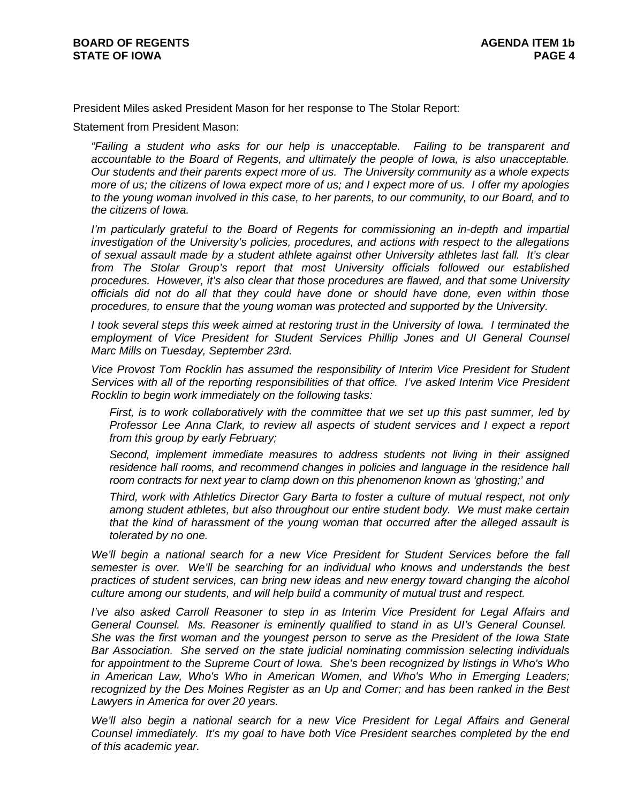President Miles asked President Mason for her response to The Stolar Report:

Statement from President Mason:

*"Failing a student who asks for our help is unacceptable. Failing to be transparent and accountable to the Board of Regents, and ultimately the people of Iowa, is also unacceptable. Our students and their parents expect more of us. The University community as a whole expects more of us; the citizens of Iowa expect more of us; and I expect more of us. I offer my apologies to the young woman involved in this case, to her parents, to our community, to our Board, and to the citizens of Iowa.* 

*I'm particularly grateful to the Board of Regents for commissioning an in-depth and impartial investigation of the University's policies, procedures, and actions with respect to the allegations of sexual assault made by a student athlete against other University athletes last fall. It's clear*  from The Stolar Group's report that most University officials followed our established *procedures. However, it's also clear that those procedures are flawed, and that some University officials did not do all that they could have done or should have done, even within those procedures, to ensure that the young woman was protected and supported by the University.* 

*I took several steps this week aimed at restoring trust in the University of Iowa. I terminated the employment of Vice President for Student Services Phillip Jones and UI General Counsel Marc Mills on Tuesday, September 23rd.* 

*Vice Provost Tom Rocklin has assumed the responsibility of Interim Vice President for Student Services with all of the reporting responsibilities of that office. I've asked Interim Vice President Rocklin to begin work immediately on the following tasks:* 

*First, is to work collaboratively with the committee that we set up this past summer, led by Professor Lee Anna Clark, to review all aspects of student services and I expect a report from this group by early February;* 

*Second, implement immediate measures to address students not living in their assigned*  residence hall rooms, and recommend changes in policies and language in the residence hall *room contracts for next year to clamp down on this phenomenon known as 'ghosting;' and* 

*Third, work with Athletics Director Gary Barta to foster a culture of mutual respect, not only among student athletes, but also throughout our entire student body. We must make certain that the kind of harassment of the young woman that occurred after the alleged assault is tolerated by no one.* 

*We'll begin a national search for a new Vice President for Student Services before the fall semester is over. We'll be searching for an individual who knows and understands the best practices of student services, can bring new ideas and new energy toward changing the alcohol culture among our students, and will help build a community of mutual trust and respect.* 

*I've also asked Carroll Reasoner to step in as Interim Vice President for Legal Affairs and General Counsel. Ms. Reasoner is eminently qualified to stand in as UI's General Counsel. She was the first woman and the youngest person to serve as the President of the Iowa State Bar Association. She served on the state judicial nominating commission selecting individuals for appointment to the Supreme Court of Iowa. She's been recognized by listings in Who's Who in American Law, Who's Who in American Women, and Who's Who in Emerging Leaders; recognized by the Des Moines Register as an Up and Comer; and has been ranked in the Best Lawyers in America for over 20 years.* 

*We'll also begin a national search for a new Vice President for Legal Affairs and General Counsel immediately. It's my goal to have both Vice President searches completed by the end of this academic year.*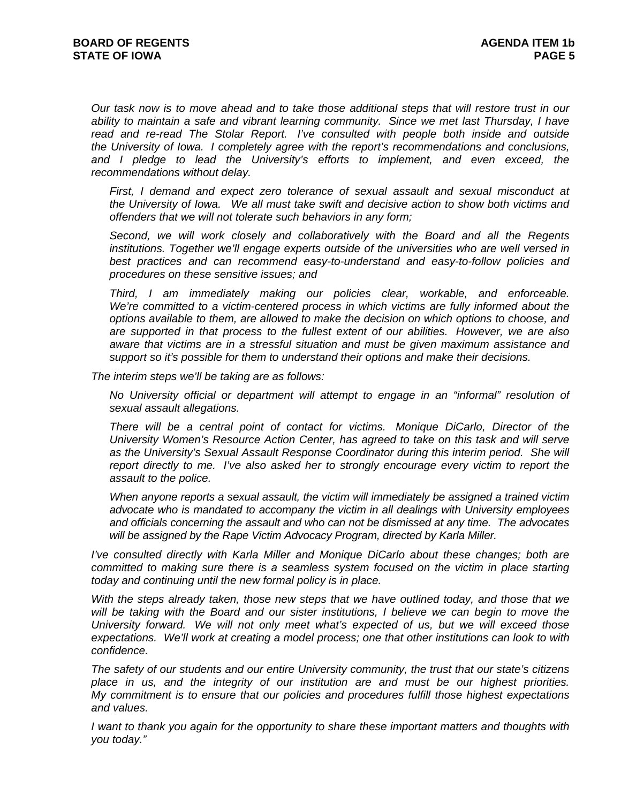*Our task now is to move ahead and to take those additional steps that will restore trust in our ability to maintain a safe and vibrant learning community. Since we met last Thursday, I have read and re-read The Stolar Report. I've consulted with people both inside and outside the University of Iowa. I completely agree with the report's recommendations and conclusions,*  and I pledge to lead the University's efforts to implement, and even exceed, the *recommendations without delay.* 

*First, I demand and expect zero tolerance of sexual assault and sexual misconduct at the University of Iowa. We all must take swift and decisive action to show both victims and offenders that we will not tolerate such behaviors in any form;* 

*Second, we will work closely and collaboratively with the Board and all the Regents institutions. Together we'll engage experts outside of the universities who are well versed in*  best practices and can recommend easy-to-understand and easy-to-follow policies and *procedures on these sensitive issues; and* 

*Third, I am immediately making our policies clear, workable, and enforceable. We're committed to a victim-centered process in which victims are fully informed about the options available to them, are allowed to make the decision on which options to choose, and are supported in that process to the fullest extent of our abilities. However, we are also aware that victims are in a stressful situation and must be given maximum assistance and support so it's possible for them to understand their options and make their decisions.* 

*The interim steps we'll be taking are as follows:* 

*No University official or department will attempt to engage in an "informal" resolution of sexual assault allegations.* 

*There will be a central point of contact for victims. Monique DiCarlo, Director of the University Women's Resource Action Center, has agreed to take on this task and will serve*  as the University's Sexual Assault Response Coordinator during this interim period. She will *report directly to me. I've also asked her to strongly encourage every victim to report the assault to the police.* 

*When anyone reports a sexual assault, the victim will immediately be assigned a trained victim advocate who is mandated to accompany the victim in all dealings with University employees and officials concerning the assault and who can not be dismissed at any time. The advocates will be assigned by the Rape Victim Advocacy Program, directed by Karla Miller.* 

*I've consulted directly with Karla Miller and Monique DiCarlo about these changes; both are committed to making sure there is a seamless system focused on the victim in place starting today and continuing until the new formal policy is in place.* 

*With the steps already taken, those new steps that we have outlined today, and those that we will be taking with the Board and our sister institutions, I believe we can begin to move the University forward. We will not only meet what's expected of us, but we will exceed those expectations. We'll work at creating a model process; one that other institutions can look to with confidence.* 

*The safety of our students and our entire University community, the trust that our state's citizens place in us, and the integrity of our institution are and must be our highest priorities. My commitment is to ensure that our policies and procedures fulfill those highest expectations and values.* 

*I want to thank you again for the opportunity to share these important matters and thoughts with you today."*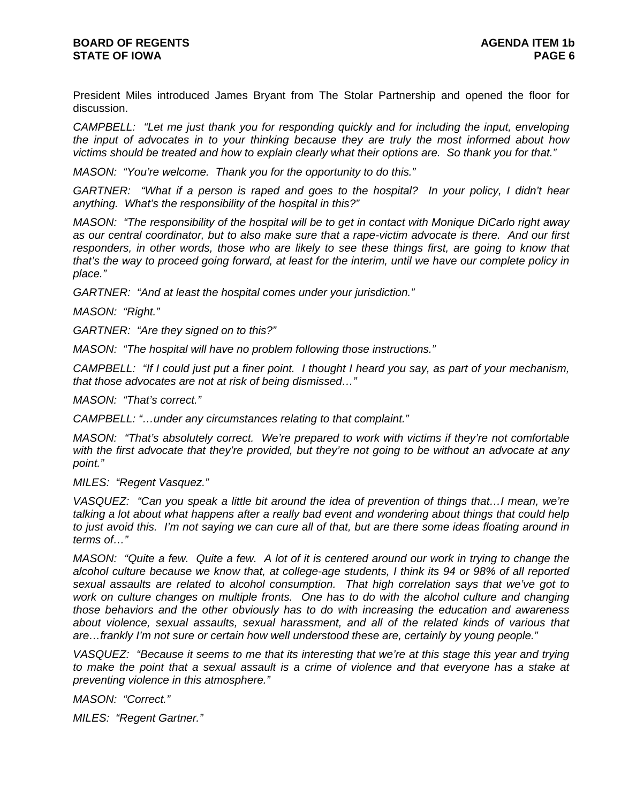President Miles introduced James Bryant from The Stolar Partnership and opened the floor for discussion.

*CAMPBELL: "Let me just thank you for responding quickly and for including the input, enveloping the input of advocates in to your thinking because they are truly the most informed about how victims should be treated and how to explain clearly what their options are. So thank you for that."* 

*MASON: "You're welcome. Thank you for the opportunity to do this."* 

*GARTNER: "What if a person is raped and goes to the hospital? In your policy, I didn't hear anything. What's the responsibility of the hospital in this?"* 

*MASON: "The responsibility of the hospital will be to get in contact with Monique DiCarlo right away as our central coordinator, but to also make sure that a rape-victim advocate is there. And our first responders, in other words, those who are likely to see these things first, are going to know that that's the way to proceed going forward, at least for the interim, until we have our complete policy in place."* 

*GARTNER: "And at least the hospital comes under your jurisdiction."* 

*MASON: "Right."* 

*GARTNER: "Are they signed on to this?"* 

*MASON: "The hospital will have no problem following those instructions."* 

*CAMPBELL: "If I could just put a finer point. I thought I heard you say, as part of your mechanism, that those advocates are not at risk of being dismissed…"* 

*MASON: "That's correct."* 

*CAMPBELL: "…under any circumstances relating to that complaint."* 

*MASON: "That's absolutely correct. We're prepared to work with victims if they're not comfortable with the first advocate that they're provided, but they're not going to be without an advocate at any point."* 

*MILES: "Regent Vasquez."* 

*VASQUEZ: "Can you speak a little bit around the idea of prevention of things that…I mean, we're talking a lot about what happens after a really bad event and wondering about things that could help to just avoid this. I'm not saying we can cure all of that, but are there some ideas floating around in terms of…"* 

*MASON: "Quite a few. Quite a few. A lot of it is centered around our work in trying to change the alcohol culture because we know that, at college-age students, I think its 94 or 98% of all reported sexual assaults are related to alcohol consumption. That high correlation says that we've got to work on culture changes on multiple fronts. One has to do with the alcohol culture and changing those behaviors and the other obviously has to do with increasing the education and awareness about violence, sexual assaults, sexual harassment, and all of the related kinds of various that are…frankly I'm not sure or certain how well understood these are, certainly by young people."* 

*VASQUEZ: "Because it seems to me that its interesting that we're at this stage this year and trying*  to make the point that a sexual assault is a crime of violence and that everyone has a stake at *preventing violence in this atmosphere."* 

*MASON: "Correct."* 

*MILES: "Regent Gartner."*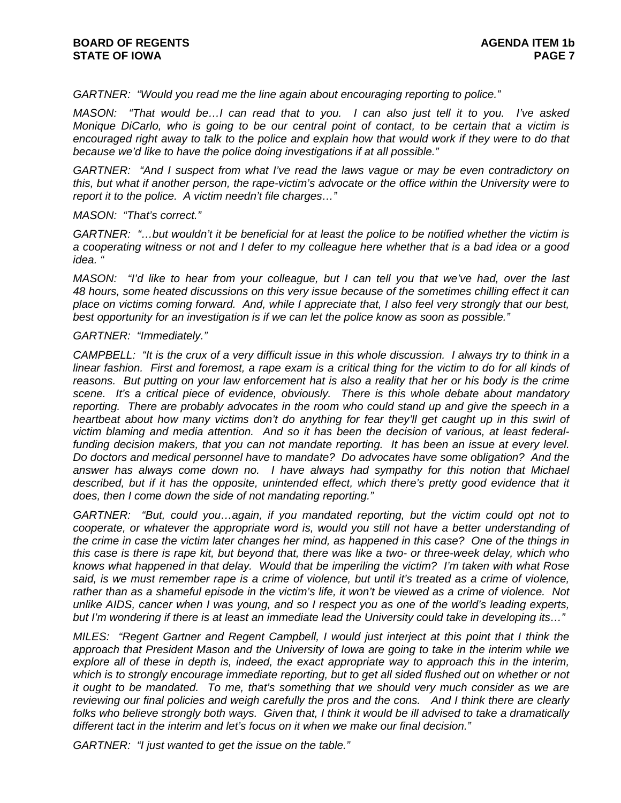*GARTNER: "Would you read me the line again about encouraging reporting to police."* 

*MASON: "That would be…I can read that to you. I can also just tell it to you. I've asked Monique DiCarlo, who is going to be our central point of contact, to be certain that a victim is encouraged right away to talk to the police and explain how that would work if they were to do that because we'd like to have the police doing investigations if at all possible."* 

*GARTNER: "And I suspect from what I've read the laws vague or may be even contradictory on this, but what if another person, the rape-victim's advocate or the office within the University were to report it to the police. A victim needn't file charges…"* 

#### *MASON: "That's correct."*

*GARTNER: "…but wouldn't it be beneficial for at least the police to be notified whether the victim is a cooperating witness or not and I defer to my colleague here whether that is a bad idea or a good idea. "* 

*MASON: "I'd like to hear from your colleague, but I can tell you that we've had, over the last 48 hours, some heated discussions on this very issue because of the sometimes chilling effect it can place on victims coming forward. And, while I appreciate that, I also feel very strongly that our best, best opportunity for an investigation is if we can let the police know as soon as possible."* 

## *GARTNER: "Immediately."*

*CAMPBELL: "It is the crux of a very difficult issue in this whole discussion. I always try to think in a linear fashion. First and foremost, a rape exam is a critical thing for the victim to do for all kinds of reasons. But putting on your law enforcement hat is also a reality that her or his body is the crime scene. It's a critical piece of evidence, obviously. There is this whole debate about mandatory reporting. There are probably advocates in the room who could stand up and give the speech in a*  heartbeat about how many victims don't do anything for fear they'll get caught up in this swirl of *victim blaming and media attention. And so it has been the decision of various, at least federal*funding decision makers, that you can not mandate reporting. It has been an issue at every level. *Do doctors and medical personnel have to mandate? Do advocates have some obligation? And the answer has always come down no. I have always had sympathy for this notion that Michael*  described, but if it has the opposite, unintended effect, which there's pretty good evidence that it *does, then I come down the side of not mandating reporting."* 

*GARTNER: "But, could you…again, if you mandated reporting, but the victim could opt not to cooperate, or whatever the appropriate word is, would you still not have a better understanding of the crime in case the victim later changes her mind, as happened in this case? One of the things in this case is there is rape kit, but beyond that, there was like a two- or three-week delay, which who knows what happened in that delay. Would that be imperiling the victim? I'm taken with what Rose said, is we must remember rape is a crime of violence, but until it's treated as a crime of violence, rather than as a shameful episode in the victim's life, it won't be viewed as a crime of violence. Not unlike AIDS, cancer when I was young, and so I respect you as one of the world's leading experts, but I'm wondering if there is at least an immediate lead the University could take in developing its…"* 

*MILES: "Regent Gartner and Regent Campbell, I would just interject at this point that I think the approach that President Mason and the University of Iowa are going to take in the interim while we explore all of these in depth is, indeed, the exact appropriate way to approach this in the interim,*  which is to strongly encourage immediate reporting, but to get all sided flushed out on whether or not *it ought to be mandated. To me, that's something that we should very much consider as we are reviewing our final policies and weigh carefully the pros and the cons. And I think there are clearly folks who believe strongly both ways. Given that, I think it would be ill advised to take a dramatically different tact in the interim and let's focus on it when we make our final decision."* 

*GARTNER: "I just wanted to get the issue on the table."*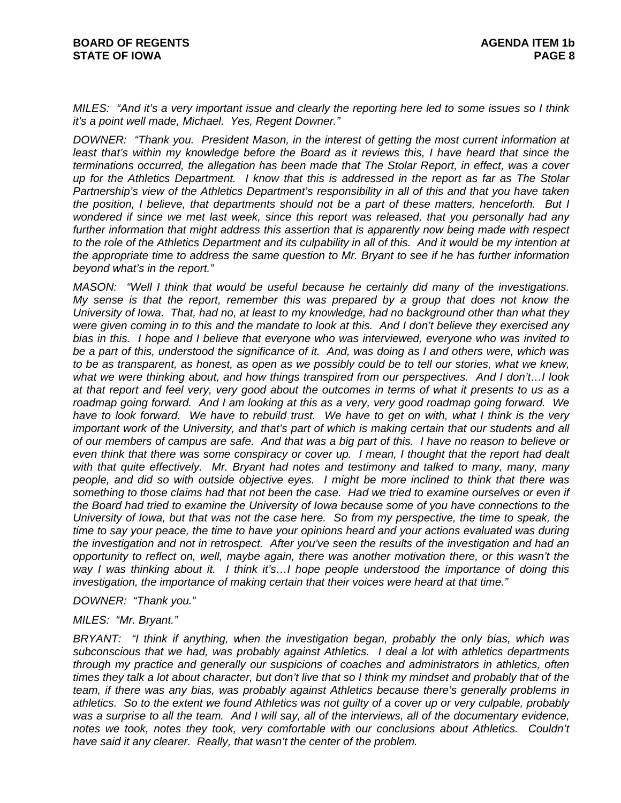*MILES: "And it's a very important issue and clearly the reporting here led to some issues so I think it's a point well made, Michael. Yes, Regent Downer."* 

*DOWNER: "Thank you. President Mason, in the interest of getting the most current information at least that's within my knowledge before the Board as it reviews this, I have heard that since the terminations occurred, the allegation has been made that The Stolar Report, in effect, was a cover up for the Athletics Department. I know that this is addressed in the report as far as The Stolar Partnership's view of the Athletics Department's responsibility in all of this and that you have taken the position, I believe, that departments should not be a part of these matters, henceforth. But I wondered if since we met last week, since this report was released, that you personally had any further information that might address this assertion that is apparently now being made with respect to the role of the Athletics Department and its culpability in all of this. And it would be my intention at the appropriate time to address the same question to Mr. Bryant to see if he has further information beyond what's in the report."* 

*MASON: "Well I think that would be useful because he certainly did many of the investigations. My sense is that the report, remember this was prepared by a group that does not know the University of Iowa. That, had no, at least to my knowledge, had no background other than what they were given coming in to this and the mandate to look at this. And I don't believe they exercised any bias in this. I hope and I believe that everyone who was interviewed, everyone who was invited to be a part of this, understood the significance of it. And, was doing as I and others were, which was*  to be as transparent, as honest, as open as we possibly could be to tell our stories, what we knew, *what we were thinking about, and how things transpired from our perspectives. And I don't…I look at that report and feel very, very good about the outcomes in terms of what it presents to us as a roadmap going forward. And I am looking at this as a very, very good roadmap going forward. We have to look forward. We have to rebuild trust. We have to get on with, what I think is the very important work of the University, and that's part of which is making certain that our students and all of our members of campus are safe. And that was a big part of this. I have no reason to believe or even think that there was some conspiracy or cover up. I mean, I thought that the report had dealt with that quite effectively. Mr. Bryant had notes and testimony and talked to many, many, many people, and did so with outside objective eyes. I might be more inclined to think that there was something to those claims had that not been the case. Had we tried to examine ourselves or even if the Board had tried to examine the University of Iowa because some of you have connections to the University of Iowa, but that was not the case here. So from my perspective, the time to speak, the time to say your peace, the time to have your opinions heard and your actions evaluated was during the investigation and not in retrospect. After you've seen the results of the investigation and had an opportunity to reflect on, well, maybe again, there was another motivation there, or this wasn't the way I was thinking about it. I think it's…I hope people understood the importance of doing this investigation, the importance of making certain that their voices were heard at that time."* 

*DOWNER: "Thank you."* 

*MILES: "Mr. Bryant."* 

*BRYANT: "I think if anything, when the investigation began, probably the only bias, which was subconscious that we had, was probably against Athletics. I deal a lot with athletics departments through my practice and generally our suspicions of coaches and administrators in athletics, often times they talk a lot about character, but don't live that so I think my mindset and probably that of the team, if there was any bias, was probably against Athletics because there's generally problems in athletics. So to the extent we found Athletics was not guilty of a cover up or very culpable, probably was a surprise to all the team. And I will say, all of the interviews, all of the documentary evidence,*  notes we took, notes they took, very comfortable with our conclusions about Athletics. Couldn't *have said it any clearer. Really, that wasn't the center of the problem.*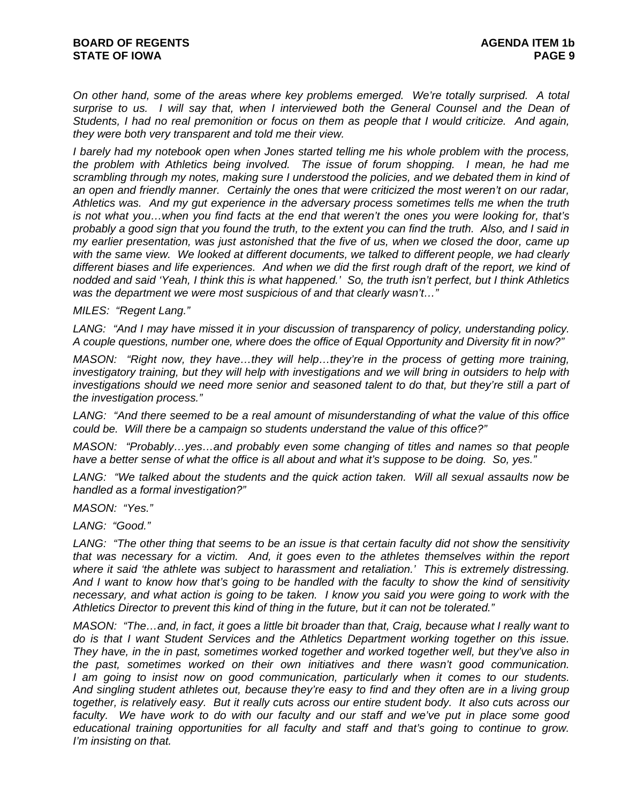*On other hand, some of the areas where key problems emerged. We're totally surprised. A total surprise to us. I will say that, when I interviewed both the General Counsel and the Dean of Students, I had no real premonition or focus on them as people that I would criticize. And again, they were both very transparent and told me their view.* 

*I barely had my notebook open when Jones started telling me his whole problem with the process, the problem with Athletics being involved. The issue of forum shopping. I mean, he had me scrambling through my notes, making sure I understood the policies, and we debated them in kind of an open and friendly manner. Certainly the ones that were criticized the most weren't on our radar, Athletics was. And my gut experience in the adversary process sometimes tells me when the truth is not what you…when you find facts at the end that weren't the ones you were looking for, that's probably a good sign that you found the truth, to the extent you can find the truth. Also, and I said in my earlier presentation, was just astonished that the five of us, when we closed the door, came up with the same view. We looked at different documents, we talked to different people, we had clearly different biases and life experiences. And when we did the first rough draft of the report, we kind of nodded and said 'Yeah, I think this is what happened.' So, the truth isn't perfect, but I think Athletics was the department we were most suspicious of and that clearly wasn't…"* 

#### *MILES: "Regent Lang."*

*LANG: "And I may have missed it in your discussion of transparency of policy, understanding policy. A couple questions, number one, where does the office of Equal Opportunity and Diversity fit in now?"* 

*MASON: "Right now, they have…they will help…they're in the process of getting more training, investigatory training, but they will help with investigations and we will bring in outsiders to help with*  investigations should we need more senior and seasoned talent to do that, but they're still a part of *the investigation process."* 

*LANG: "And there seemed to be a real amount of misunderstanding of what the value of this office could be. Will there be a campaign so students understand the value of this office?"* 

*MASON: "Probably…yes…and probably even some changing of titles and names so that people have a better sense of what the office is all about and what it's suppose to be doing. So, yes."* 

*LANG: "We talked about the students and the quick action taken. Will all sexual assaults now be handled as a formal investigation?"* 

*MASON: "Yes."* 

*LANG: "Good."* 

*LANG: "The other thing that seems to be an issue is that certain faculty did not show the sensitivity that was necessary for a victim. And, it goes even to the athletes themselves within the report where it said 'the athlete was subject to harassment and retaliation.' This is extremely distressing. And I want to know how that's going to be handled with the faculty to show the kind of sensitivity necessary, and what action is going to be taken. I know you said you were going to work with the Athletics Director to prevent this kind of thing in the future, but it can not be tolerated."* 

*MASON: "The…and, in fact, it goes a little bit broader than that, Craig, because what I really want to do is that I want Student Services and the Athletics Department working together on this issue. They have, in the in past, sometimes worked together and worked together well, but they've also in the past, sometimes worked on their own initiatives and there wasn't good communication. I am going to insist now on good communication, particularly when it comes to our students. And singling student athletes out, because they're easy to find and they often are in a living group together, is relatively easy. But it really cuts across our entire student body. It also cuts across our faculty. We have work to do with our faculty and our staff and we've put in place some good educational training opportunities for all faculty and staff and that's going to continue to grow. I'm insisting on that.*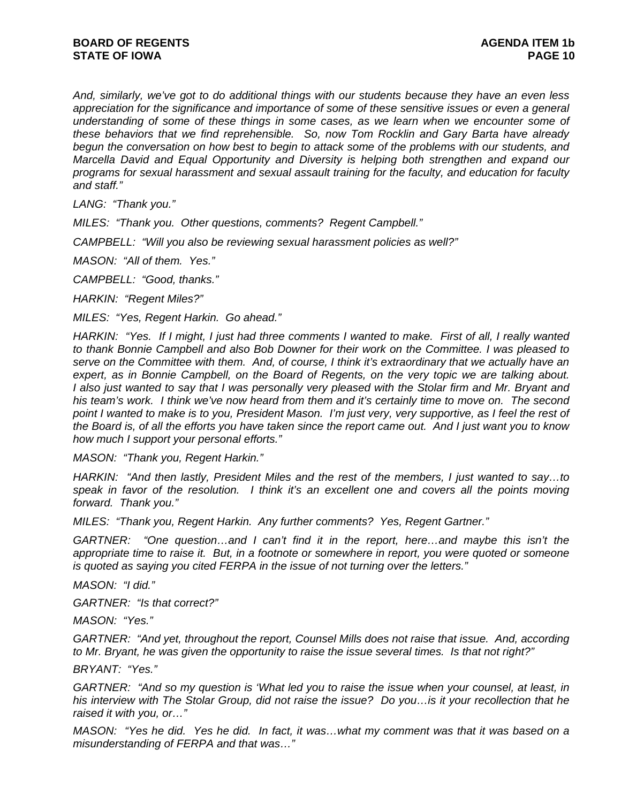*And, similarly, we've got to do additional things with our students because they have an even less appreciation for the significance and importance of some of these sensitive issues or even a general understanding of some of these things in some cases, as we learn when we encounter some of these behaviors that we find reprehensible. So, now Tom Rocklin and Gary Barta have already begun the conversation on how best to begin to attack some of the problems with our students, and Marcella David and Equal Opportunity and Diversity is helping both strengthen and expand our programs for sexual harassment and sexual assault training for the faculty, and education for faculty and staff."* 

*LANG: "Thank you."* 

*MILES: "Thank you. Other questions, comments? Regent Campbell."* 

*CAMPBELL: "Will you also be reviewing sexual harassment policies as well?"* 

*MASON: "All of them. Yes."* 

*CAMPBELL: "Good, thanks."* 

*HARKIN: "Regent Miles?"* 

*MILES: "Yes, Regent Harkin. Go ahead."* 

*HARKIN: "Yes. If I might, I just had three comments I wanted to make. First of all, I really wanted to thank Bonnie Campbell and also Bob Downer for their work on the Committee. I was pleased to serve on the Committee with them. And, of course, I think it's extraordinary that we actually have an expert, as in Bonnie Campbell, on the Board of Regents, on the very topic we are talking about. I also just wanted to say that I was personally very pleased with the Stolar firm and Mr. Bryant and his team's work. I think we've now heard from them and it's certainly time to move on. The second*  point I wanted to make is to you, President Mason. I'm just very, very supportive, as I feel the rest of *the Board is, of all the efforts you have taken since the report came out. And I just want you to know how much I support your personal efforts."* 

*MASON: "Thank you, Regent Harkin."* 

*HARKIN: "And then lastly, President Miles and the rest of the members, I just wanted to say…to speak in favor of the resolution. I think it's an excellent one and covers all the points moving forward. Thank you."* 

*MILES: "Thank you, Regent Harkin. Any further comments? Yes, Regent Gartner."* 

*GARTNER: "One question…and I can't find it in the report, here…and maybe this isn't the appropriate time to raise it. But, in a footnote or somewhere in report, you were quoted or someone is quoted as saying you cited FERPA in the issue of not turning over the letters."* 

*MASON: "I did."* 

*GARTNER: "Is that correct?"* 

*MASON: "Yes."* 

*GARTNER: "And yet, throughout the report, Counsel Mills does not raise that issue. And, according to Mr. Bryant, he was given the opportunity to raise the issue several times. Is that not right?"* 

*BRYANT: "Yes."* 

*GARTNER: "And so my question is 'What led you to raise the issue when your counsel, at least, in his interview with The Stolar Group, did not raise the issue? Do you…is it your recollection that he raised it with you, or…"* 

*MASON: "Yes he did. Yes he did. In fact, it was…what my comment was that it was based on a misunderstanding of FERPA and that was…"*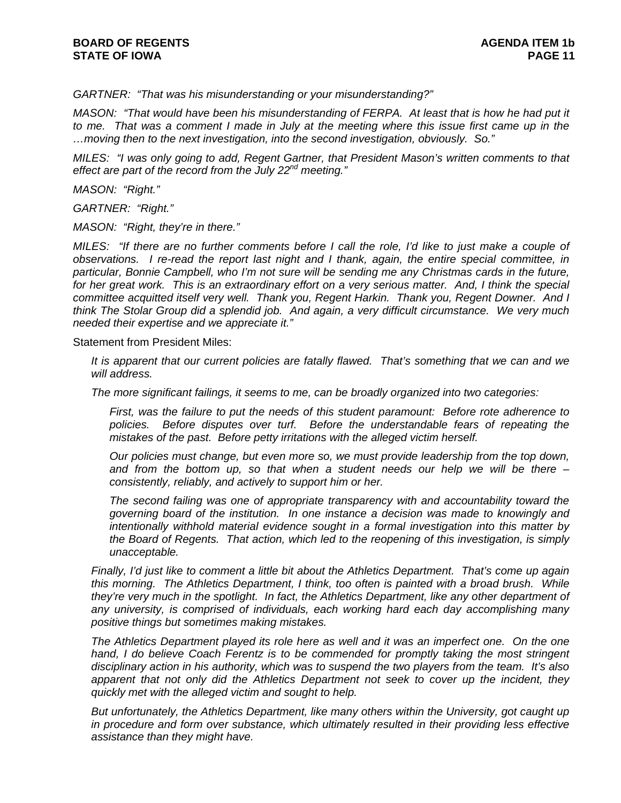*GARTNER: "That was his misunderstanding or your misunderstanding?"* 

*MASON: "That would have been his misunderstanding of FERPA. At least that is how he had put it to me. That was a comment I made in July at the meeting where this issue first came up in the …moving then to the next investigation, into the second investigation, obviously. So."* 

*MILES: "I was only going to add, Regent Gartner, that President Mason's written comments to that effect are part of the record from the July 22nd meeting."* 

*MASON: "Right."* 

*GARTNER: "Right."* 

*MASON: "Right, they're in there."* 

*MILES: "If there are no further comments before I call the role, I'd like to just make a couple of observations. I re-read the report last night and I thank, again, the entire special committee, in particular, Bonnie Campbell, who I'm not sure will be sending me any Christmas cards in the future,*  for her great work. This is an extraordinary effort on a very serious matter. And, I think the special *committee acquitted itself very well. Thank you, Regent Harkin. Thank you, Regent Downer. And I think The Stolar Group did a splendid job. And again, a very difficult circumstance. We very much needed their expertise and we appreciate it."* 

Statement from President Miles:

*It is apparent that our current policies are fatally flawed. That's something that we can and we will address.* 

*The more significant failings, it seems to me, can be broadly organized into two categories:* 

*First, was the failure to put the needs of this student paramount: Before rote adherence to policies. Before disputes over turf. Before the understandable fears of repeating the mistakes of the past. Before petty irritations with the alleged victim herself.* 

*Our policies must change, but even more so, we must provide leadership from the top down,*  and from the bottom up, so that when a student needs our help we will be there – *consistently, reliably, and actively to support him or her.* 

*The second failing was one of appropriate transparency with and accountability toward the governing board of the institution. In one instance a decision was made to knowingly and intentionally withhold material evidence sought in a formal investigation into this matter by the Board of Regents. That action, which led to the reopening of this investigation, is simply unacceptable.* 

*Finally, I'd just like to comment a little bit about the Athletics Department. That's come up again this morning. The Athletics Department, I think, too often is painted with a broad brush. While they're very much in the spotlight. In fact, the Athletics Department, like any other department of any university, is comprised of individuals, each working hard each day accomplishing many positive things but sometimes making mistakes.* 

*The Athletics Department played its role here as well and it was an imperfect one. On the one*  hand, I do believe Coach Ferentz is to be commended for promptly taking the most stringent *disciplinary action in his authority, which was to suspend the two players from the team. It's also apparent that not only did the Athletics Department not seek to cover up the incident, they quickly met with the alleged victim and sought to help.* 

*But unfortunately, the Athletics Department, like many others within the University, got caught up in procedure and form over substance, which ultimately resulted in their providing less effective assistance than they might have.*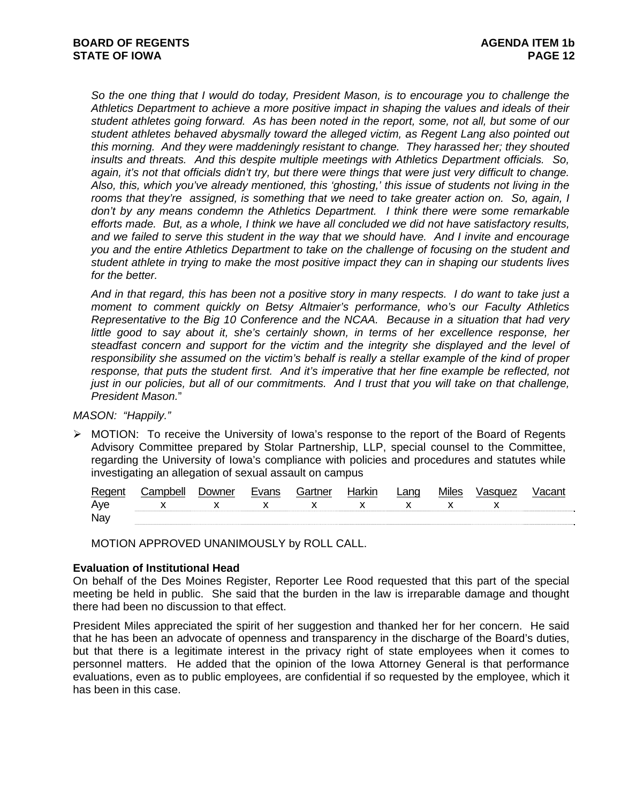*So the one thing that I would do today, President Mason, is to encourage you to challenge the Athletics Department to achieve a more positive impact in shaping the values and ideals of their student athletes going forward. As has been noted in the report, some, not all, but some of our student athletes behaved abysmally toward the alleged victim, as Regent Lang also pointed out this morning. And they were maddeningly resistant to change. They harassed her; they shouted insults and threats. And this despite multiple meetings with Athletics Department officials. So, again, it's not that officials didn't try, but there were things that were just very difficult to change. Also, this, which you've already mentioned, this 'ghosting,' this issue of students not living in the rooms that they're assigned, is something that we need to take greater action on. So, again, I don't by any means condemn the Athletics Department. I think there were some remarkable efforts made. But, as a whole, I think we have all concluded we did not have satisfactory results, and we failed to serve this student in the way that we should have. And I invite and encourage you and the entire Athletics Department to take on the challenge of focusing on the student and student athlete in trying to make the most positive impact they can in shaping our students lives for the better.* 

*And in that regard, this has been not a positive story in many respects. I do want to take just a moment to comment quickly on Betsy Altmaier's performance, who's our Faculty Athletics Representative to the Big 10 Conference and the NCAA. Because in a situation that had very*  little good to say about it, she's certainly shown, in terms of her excellence response, her *steadfast concern and support for the victim and the integrity she displayed and the level of responsibility she assumed on the victim's behalf is really a stellar example of the kind of proper response, that puts the student first. And it's imperative that her fine example be reflected, not just in our policies, but all of our commitments. And I trust that you will take on that challenge, President Mason.*"

# *MASON: "Happily."*

¾ MOTION: To receive the University of Iowa's response to the report of the Board of Regents Advisory Committee prepared by Stolar Partnership, LLP, special counsel to the Committee, regarding the University of Iowa's compliance with policies and procedures and statutes while investigating an allegation of sexual assault on campus

| Regent | Campbell                                                       | Downer | Evans | Gartner | Harkin | Lang           | <b>Miles</b> | Vasquez | Vacant |
|--------|----------------------------------------------------------------|--------|-------|---------|--------|----------------|--------------|---------|--------|
| Ave    | $\begin{matrix} \chi & \chi & \chi & \chi & \chi \end{matrix}$ |        |       |         |        | $\mathsf{X}$ X |              |         |        |
| Nay    |                                                                |        |       |         |        |                |              |         |        |

MOTION APPROVED UNANIMOUSLY by ROLL CALL.

# **Evaluation of Institutional Head**

On behalf of the Des Moines Register, Reporter Lee Rood requested that this part of the special meeting be held in public. She said that the burden in the law is irreparable damage and thought there had been no discussion to that effect.

President Miles appreciated the spirit of her suggestion and thanked her for her concern. He said that he has been an advocate of openness and transparency in the discharge of the Board's duties, but that there is a legitimate interest in the privacy right of state employees when it comes to personnel matters. He added that the opinion of the Iowa Attorney General is that performance evaluations, even as to public employees, are confidential if so requested by the employee, which it has been in this case.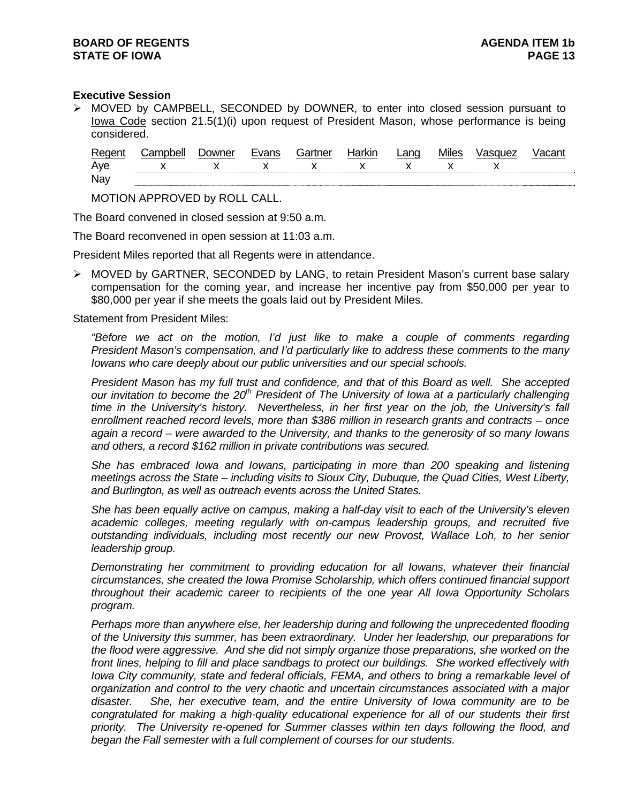## **Executive Session**

¾ MOVED by CAMPBELL, SECONDED by DOWNER, to enter into closed session pursuant to Iowa Code section 21.5(1)(i) upon request of President Mason, whose performance is being considered.

| Regen | Campbell | Jowner | Evans | Gartner | <b>Jorkin</b> | Lano | <b>Miles</b> | /asquez |  |
|-------|----------|--------|-------|---------|---------------|------|--------------|---------|--|
| Aye   |          |        |       |         |               |      |              |         |  |
| Nay   |          |        |       |         |               |      |              |         |  |

MOTION APPROVED by ROLL CALL.

The Board convened in closed session at 9:50 a.m.

The Board reconvened in open session at 11:03 a.m.

President Miles reported that all Regents were in attendance.

¾ MOVED by GARTNER, SECONDED by LANG, to retain President Mason's current base salary compensation for the coming year, and increase her incentive pay from \$50,000 per year to \$80,000 per year if she meets the goals laid out by President Miles.

Statement from President Miles:

*"Before we act on the motion, I'd just like to make a couple of comments regarding President Mason's compensation, and I'd particularly like to address these comments to the many Iowans who care deeply about our public universities and our special schools.* 

*President Mason has my full trust and confidence, and that of this Board as well. She accepted*  our invitation to become the 20<sup>th</sup> President of The University of Iowa at a particularly challenging *time in the University's history. Nevertheless, in her first year on the job, the University's fall enrollment reached record levels, more than \$386 million in research grants and contracts – once again a record – were awarded to the University, and thanks to the generosity of so many Iowans and others, a record \$162 million in private contributions was secured.* 

*She has embraced Iowa and Iowans, participating in more than 200 speaking and listening meetings across the State – including visits to Sioux City, Dubuque, the Quad Cities, West Liberty, and Burlington, as well as outreach events across the United States.* 

*She has been equally active on campus, making a half-day visit to each of the University's eleven academic colleges, meeting regularly with on-campus leadership groups, and recruited five outstanding individuals, including most recently our new Provost, Wallace Loh, to her senior leadership group.* 

*Demonstrating her commitment to providing education for all Iowans, whatever their financial circumstances, she created the Iowa Promise Scholarship, which offers continued financial support throughout their academic career to recipients of the one year All Iowa Opportunity Scholars program.* 

*Perhaps more than anywhere else, her leadership during and following the unprecedented flooding of the University this summer, has been extraordinary. Under her leadership, our preparations for the flood were aggressive. And she did not simply organize those preparations, she worked on the front lines, helping to fill and place sandbags to protect our buildings. She worked effectively with Iowa City community, state and federal officials, FEMA, and others to bring a remarkable level of organization and control to the very chaotic and uncertain circumstances associated with a major disaster. She, her executive team, and the entire University of Iowa community are to be congratulated for making a high-quality educational experience for all of our students their first priority. The University re-opened for Summer classes within ten days following the flood, and began the Fall semester with a full complement of courses for our students.*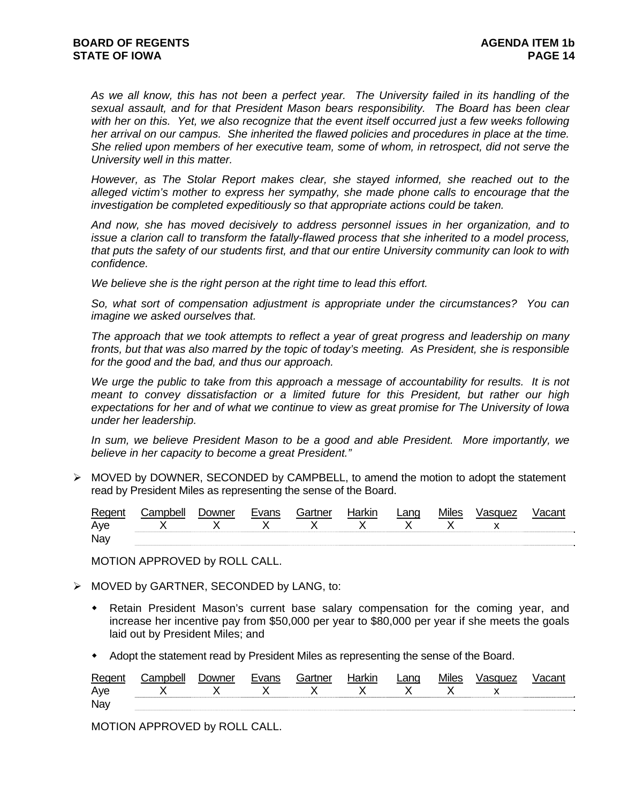*As we all know, this has not been a perfect year. The University failed in its handling of the sexual assault, and for that President Mason bears responsibility. The Board has been clear*  with her on this. Yet, we also recognize that the event itself occurred just a few weeks following *her arrival on our campus. She inherited the flawed policies and procedures in place at the time. She relied upon members of her executive team, some of whom, in retrospect, did not serve the University well in this matter.* 

*However, as The Stolar Report makes clear, she stayed informed, she reached out to the alleged victim's mother to express her sympathy, she made phone calls to encourage that the investigation be completed expeditiously so that appropriate actions could be taken.* 

*And now, she has moved decisively to address personnel issues in her organization, and to issue a clarion call to transform the fatally-flawed process that she inherited to a model process, that puts the safety of our students first, and that our entire University community can look to with confidence.* 

*We believe she is the right person at the right time to lead this effort.* 

*So, what sort of compensation adjustment is appropriate under the circumstances? You can imagine we asked ourselves that.* 

*The approach that we took attempts to reflect a year of great progress and leadership on many fronts, but that was also marred by the topic of today's meeting. As President, she is responsible for the good and the bad, and thus our approach.* 

We urge the public to take from this approach a message of accountability for results. It is not *meant to convey dissatisfaction or a limited future for this President, but rather our high expectations for her and of what we continue to view as great promise for The University of Iowa under her leadership.* 

*In sum, we believe President Mason to be a good and able President. More importantly, we believe in her capacity to become a great President."*

 $\triangleright$  MOVED by DOWNER, SECONDED by CAMPBELL, to amend the motion to adopt the statement read by President Miles as representing the sense of the Board.

| Regent | Campbell. | <i>D</i> owner | Evans        | Gartner      | Harkin       | _ang         | <b>Miles</b> | √asquez |  |
|--------|-----------|----------------|--------------|--------------|--------------|--------------|--------------|---------|--|
| Ave    | $X$ X     |                | $\mathsf{X}$ | $\mathsf{X}$ | $\mathsf{X}$ | $\mathsf{X}$ |              |         |  |
| Nay    |           |                |              |              |              |              |              |         |  |

MOTION APPROVED by ROLL CALL.

- $\triangleright$  MOVED by GARTNER, SECONDED by LANG, to:
	- Retain President Mason's current base salary compensation for the coming year, and increase her incentive pay from \$50,000 per year to \$80,000 per year if she meets the goals laid out by President Miles; and
	- Adopt the statement read by President Miles as representing the sense of the Board.

| Regent | :ampbell | <b>Downer</b>             | Evans        | Gartner | <b>Harkir</b> | ∟ang | <b>Miles</b> | Vasquez |  |
|--------|----------|---------------------------|--------------|---------|---------------|------|--------------|---------|--|
| Aye    |          | and <b>V</b> and <b>V</b> | $\mathbf{v}$ |         |               |      |              |         |  |
| Nay    |          |                           |              |         |               |      |              |         |  |

MOTION APPROVED by ROLL CALL.